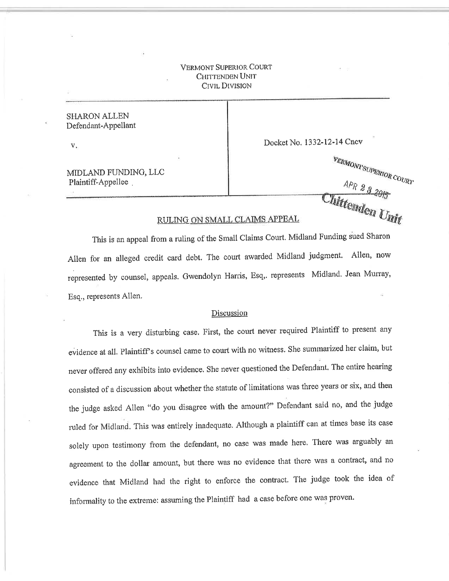## VERMONT SUPBNIOR COURT CHITTENDEN UNIT Civil Division

SHARON ALLEN Defendant-Appellant

V

Docket No. 1332-12-14 Cncv

MIDLAND FUNDING, LLC Plaintiff-Appellee .

 $v_{\mathcal{R}N4O N4'S UPERIOR}$   $_{COU_{\mathcal{R}T}}$ <sup>APR 23</sup>2015

## RULING ON SMALL CLAIMS APPEAL

This is an appeal from a ruling of the Small Claims Court. Midland Funding sued Sharon Allen for an alleged credit card debt. The court awarded Midland judgment. Allen, now represented by counsel, appeals. Gwendolyn Harris, Esq,. represents Midland. Jean Murray, Esq., repressnts Allen.

## Discussion

This is a very disturbing case. First, the court never required Plaintiff to present any evidence at all. Plaintiff's counsel came to court with no witness. She summarized her claim, but never offered any exhibits into evidence. She never questioned the Defendant. The entire hearing consisted of a discussion about whether the statute of limitations was three years or six, and then the judge asked Allen "do you disagree with the amount?" Defendant said no, and the judge ruled for Midland. This was entirely inadequate. Although a plaintiff can at times base its case solely upon testimony from the defendant, no case was made here. There was arguably an agreement to the dollar amount, but there was no evidence that there was a contract, and no evidence that Midland had the right to enforce the contract. The judge took the idea of informality to the extreme: assuming the Plaintiff had a case before one was proven.